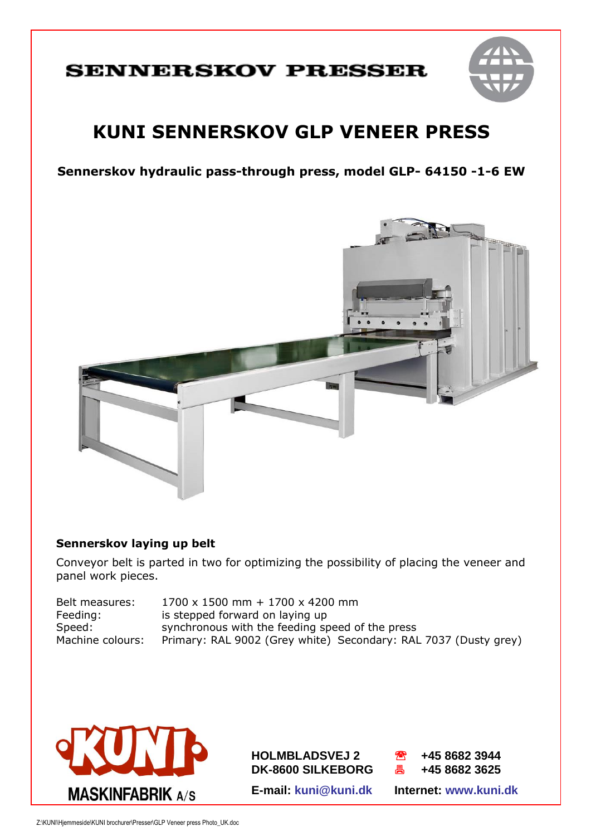# **SENNERSKOV PRESSER**



# **KUNI SENNERSKOV GLP VENEER PRESS**

**Sennerskov hydraulic pass-through press, model GLP- 64150 -1-6 EW**



### **Sennerskov laying up belt**

Conveyor belt is parted in two for optimizing the possibility of placing the veneer and panel work pieces.

| Belt measures:   | $1700 \times 1500$ mm + $1700 \times 4200$ mm                   |
|------------------|-----------------------------------------------------------------|
| Feeding:         | is stepped forward on laying up                                 |
| Speed:           | synchronous with the feeding speed of the press                 |
| Machine colours: | Primary: RAL 9002 (Grey white) Secondary: RAL 7037 (Dusty grey) |



**HOLMBLADSVEJ 2 +45 8682 3944 HOLMBLADSVEJ 2 +45 8682 3944**



**E-mail: kuni@kuni.dk Internet: www.kuni.dk E-mail: kuni@kuni.dk Internet: www.kuni.dk**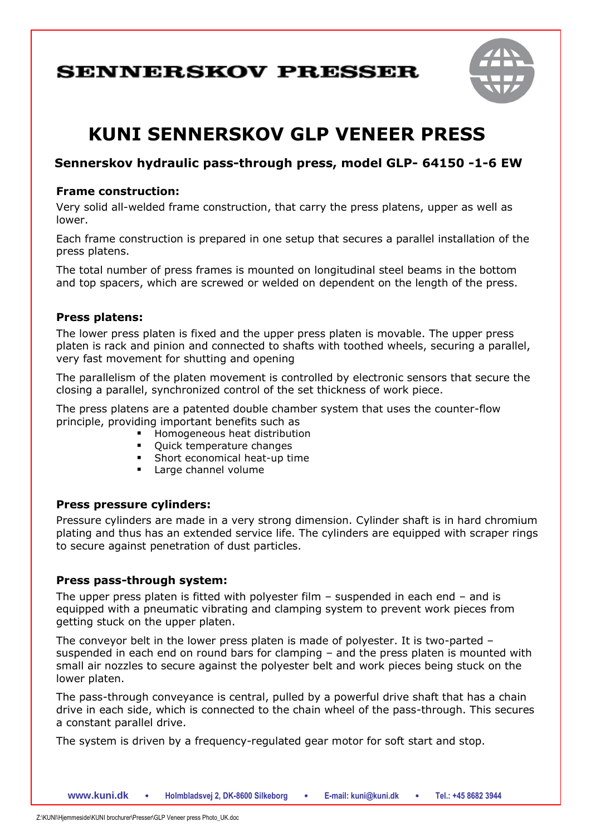## **SENNERSKOV PRESSER**



# **KUNI SENNERSKOV GLP VENEER PRESS**

### **Sennerskov hydraulic pass-through press, model GLP- 64150 -1-6 EW**

#### **Frame construction:**

Very solid all-welded frame construction, that carry the press platens, upper as well as lower.

Each frame construction is prepared in one setup that secures a parallel installation of the press platens.

The total number of press frames is mounted on longitudinal steel beams in the bottom and top spacers, which are screwed or welded on dependent on the length of the press.

#### **Press platens:**

The lower press platen is fixed and the upper press platen is movable. The upper press platen is rack and pinion and connected to shafts with toothed wheels, securing a parallel, very fast movement for shutting and opening

The parallelism of the platen movement is controlled by electronic sensors that secure the closing a parallel, synchronized control of the set thickness of work piece.

The press platens are a patented double chamber system that uses the counter-flow principle, providing important benefits such as

- **Homogeneous heat distribution**
- Quick temperature changes
- Short economical heat-up time
- **Large channel volume**

#### **Press pressure cylinders:**

Pressure cylinders are made in a very strong dimension. Cylinder shaft is in hard chromium plating and thus has an extended service life. The cylinders are equipped with scraper rings to secure against penetration of dust particles.

#### **Press pass-through system:**

The upper press platen is fitted with polyester film  $-$  suspended in each end  $-$  and is equipped with a pneumatic vibrating and clamping system to prevent work pieces from getting stuck on the upper platen.

The conveyor belt in the lower press platen is made of polyester. It is two-parted – suspended in each end on round bars for clamping – and the press platen is mounted with small air nozzles to secure against the polyester belt and work pieces being stuck on the lower platen.

The pass-through conveyance is central, pulled by a powerful drive shaft that has a chain drive in each side, which is connected to the chain wheel of the pass-through. This secures a constant parallel drive.

The system is driven by a frequency-regulated gear motor for soft start and stop.